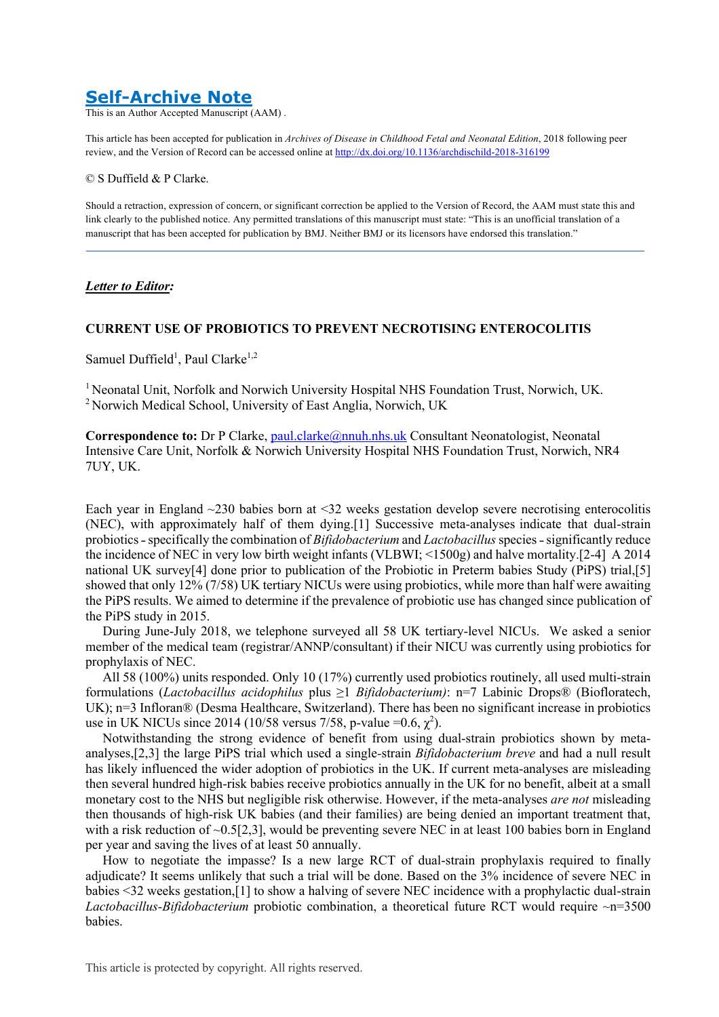# **Self-Archive Note**

This is an Author Accepted Manuscript (AAM) .

This article has been accepted for publication in *Archives of Disease in Childhood Fetal and Neonatal Edition*, 2018 following peer review, and the Version of Record can be accessed online at http://dx.doi.org/10.1136/archdischild-2018-316199

#### © S Duffield & P Clarke.

Should a retraction, expression of concern, or significant correction be applied to the Version of Record, the AAM must state this and link clearly to the published notice. Any permitted translations of this manuscript must state: "This is an unofficial translation of a manuscript that has been accepted for publication by BMJ. Neither BMJ or its licensors have endorsed this translation."

## *Letter to Editor:*

## **CURRENT USE OF PROBIOTICS TO PREVENT NECROTISING ENTEROCOLITIS**

Samuel Duffield<sup>1</sup>, Paul Clarke<sup>1,2</sup>

<sup>1</sup> Neonatal Unit, Norfolk and Norwich University Hospital NHS Foundation Trust, Norwich, UK. <sup>2</sup> Norwich Medical School, University of East Anglia, Norwich, UK

Correspondence to: Dr P Clarke, paul.clarke@nnuh.nhs.uk Consultant Neonatologist, Neonatal Intensive Care Unit, Norfolk & Norwich University Hospital NHS Foundation Trust, Norwich, NR4 7UY, UK.

Each year in England ~230 babies born at <32 weeks gestation develop severe necrotising enterocolitis (NEC), with approximately half of them dying.[1] Successive meta-analyses indicate that dual-strain probiotics - specifically the combination of *Bifidobacterium* and *Lactobacillus* species - significantly reduce the incidence of NEC in very low birth weight infants (VLBWI; <1500g) and halve mortality.[2-4] A 2014 national UK survey[4] done prior to publication of the Probiotic in Preterm babies Study (PiPS) trial,[5] showed that only 12% (7/58) UK tertiary NICUs were using probiotics, while more than half were awaiting the PiPS results. We aimed to determine if the prevalence of probiotic use has changed since publication of the PiPS study in 2015.

During June-July 2018, we telephone surveyed all 58 UK tertiary-level NICUs. We asked a senior member of the medical team (registrar/ANNP/consultant) if their NICU was currently using probiotics for prophylaxis of NEC.

All 58 (100%) units responded. Only 10 (17%) currently used probiotics routinely, all used multi-strain formulations (*Lactobacillus acidophilus* plus ≥1 *Bifidobacterium)*: n=7 Labinic Drops® (Biofloratech, UK); n=3 Infloran® (Desma Healthcare, Switzerland). There has been no significant increase in probiotics use in UK NICUs since 2014 (10/58 versus 7/58, p-value =  $0.6$ ,  $\chi^2$ ).

Notwithstanding the strong evidence of benefit from using dual-strain probiotics shown by metaanalyses,[2,3] the large PiPS trial which used a single*-*strain *Bifidobacterium breve* and had a null result has likely influenced the wider adoption of probiotics in the UK. If current meta-analyses are misleading then several hundred high-risk babies receive probiotics annually in the UK for no benefit, albeit at a small monetary cost to the NHS but negligible risk otherwise. However, if the meta-analyses *are not* misleading then thousands of high-risk UK babies (and their families) are being denied an important treatment that, with a risk reduction of ~0.5[2,3], would be preventing severe NEC in at least 100 babies born in England per year and saving the lives of at least 50 annually.

How to negotiate the impasse? Is a new large RCT of dual-strain prophylaxis required to finally adjudicate? It seems unlikely that such a trial will be done. Based on the 3% incidence of severe NEC in babies <32 weeks gestation,[1] to show a halving of severe NEC incidence with a prophylactic dual-strain *Lactobacillus-Bifidobacterium* probiotic combination, a theoretical future RCT would require ~n=3500 babies.